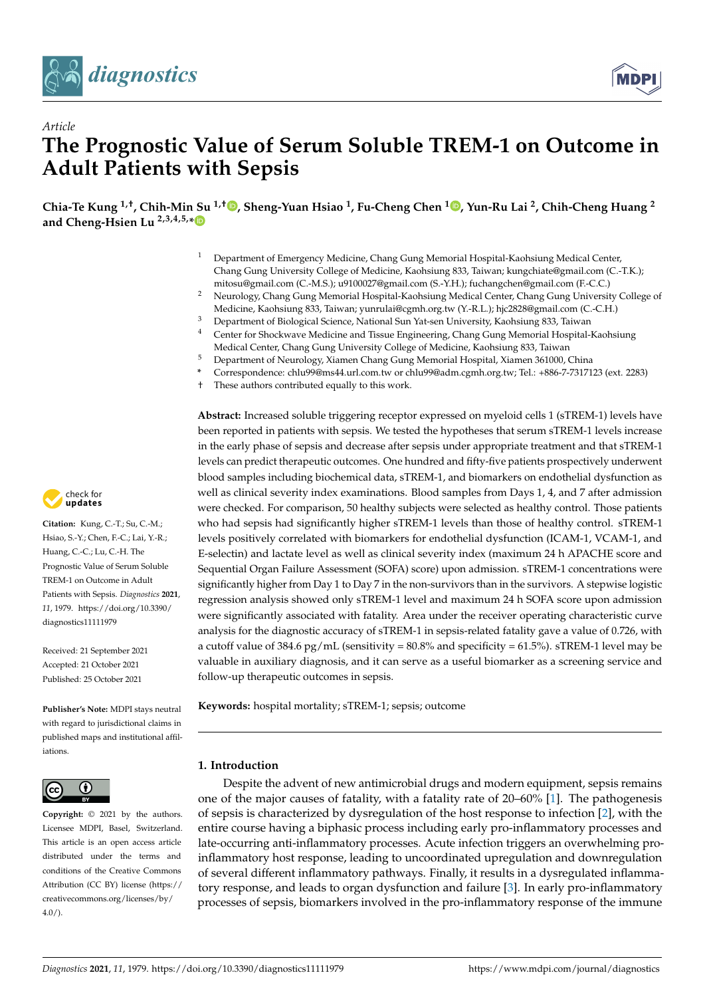

*Article*



# **The Prognostic Value of Serum Soluble TREM-1 on Outcome in Adult Patients with Sepsis**

**Chia-Te Kung 1,†, Chih-Min Su 1,† [,](https://orcid.org/0000-0002-8121-3977) Sheng-Yuan Hsiao <sup>1</sup> , Fu-Cheng Chen <sup>1</sup> [,](https://orcid.org/0000-0001-9211-3990) Yun-Ru Lai <sup>2</sup> , Chih-Cheng Huang <sup>2</sup> and Cheng-Hsien Lu 2,3,4,5,[\\*](https://orcid.org/0000-0002-5716-3930)**

- <sup>1</sup> Department of Emergency Medicine, Chang Gung Memorial Hospital-Kaohsiung Medical Center, Chang Gung University College of Medicine, Kaohsiung 833, Taiwan; kungchiate@gmail.com (C.-T.K.); mitosu@gmail.com (C.-M.S.); u9100027@gmail.com (S.-Y.H.); fuchangchen@gmail.com (F.-C.C.)
- <sup>2</sup> Neurology, Chang Gung Memorial Hospital-Kaohsiung Medical Center, Chang Gung University College of Medicine, Kaohsiung 833, Taiwan; yunrulai@cgmh.org.tw (Y.-R.L.); hjc2828@gmail.com (C.-C.H.)
- <sup>3</sup> Department of Biological Science, National Sun Yat-sen University, Kaohsiung 833, Taiwan
- <sup>4</sup> Center for Shockwave Medicine and Tissue Engineering, Chang Gung Memorial Hospital-Kaohsiung Medical Center, Chang Gung University College of Medicine, Kaohsiung 833, Taiwan
- <sup>5</sup> Department of Neurology, Xiamen Chang Gung Memorial Hospital, Xiamen 361000, China
- **\*** Correspondence: chlu99@ms44.url.com.tw or chlu99@adm.cgmh.org.tw; Tel.: +886-7-7317123 (ext. 2283)
- † These authors contributed equally to this work.

**Abstract:** Increased soluble triggering receptor expressed on myeloid cells 1 (sTREM-1) levels have been reported in patients with sepsis. We tested the hypotheses that serum sTREM-1 levels increase in the early phase of sepsis and decrease after sepsis under appropriate treatment and that sTREM-1 levels can predict therapeutic outcomes. One hundred and fifty-five patients prospectively underwent blood samples including biochemical data, sTREM-1, and biomarkers on endothelial dysfunction as well as clinical severity index examinations. Blood samples from Days 1, 4, and 7 after admission were checked. For comparison, 50 healthy subjects were selected as healthy control. Those patients who had sepsis had significantly higher sTREM-1 levels than those of healthy control. sTREM-1 levels positively correlated with biomarkers for endothelial dysfunction (ICAM-1, VCAM-1, and E-selectin) and lactate level as well as clinical severity index (maximum 24 h APACHE score and Sequential Organ Failure Assessment (SOFA) score) upon admission. sTREM-1 concentrations were significantly higher from Day 1 to Day 7 in the non-survivors than in the survivors. A stepwise logistic regression analysis showed only sTREM-1 level and maximum 24 h SOFA score upon admission were significantly associated with fatality. Area under the receiver operating characteristic curve analysis for the diagnostic accuracy of sTREM-1 in sepsis-related fatality gave a value of 0.726, with a cutoff value of 384.6 pg/mL (sensitivity =  $80.8\%$  and specificity =  $61.5\%$ ). sTREM-1 level may be valuable in auxiliary diagnosis, and it can serve as a useful biomarker as a screening service and follow-up therapeutic outcomes in sepsis.

**Keywords:** hospital mortality; sTREM-1; sepsis; outcome

# **1. Introduction**

Despite the advent of new antimicrobial drugs and modern equipment, sepsis remains one of the major causes of fatality, with a fatality rate of 20–60% [\[1\]](#page-10-0). The pathogenesis of sepsis is characterized by dysregulation of the host response to infection [\[2\]](#page-10-1), with the entire course having a biphasic process including early pro-inflammatory processes and late-occurring anti-inflammatory processes. Acute infection triggers an overwhelming proinflammatory host response, leading to uncoordinated upregulation and downregulation of several different inflammatory pathways. Finally, it results in a dysregulated inflammatory response, and leads to organ dysfunction and failure [\[3\]](#page-10-2). In early pro-inflammatory processes of sepsis, biomarkers involved in the pro-inflammatory response of the immune



**Citation:** Kung, C.-T.; Su, C.-M.; Hsiao, S.-Y.; Chen, F.-C.; Lai, Y.-R.; Huang, C.-C.; Lu, C.-H. The Prognostic Value of Serum Soluble TREM-1 on Outcome in Adult Patients with Sepsis. *Diagnostics* **2021**, *11*, 1979. [https://doi.org/10.3390/](https://doi.org/10.3390/diagnostics11111979) [diagnostics11111979](https://doi.org/10.3390/diagnostics11111979)

Received: 21 September 2021 Accepted: 21 October 2021 Published: 25 October 2021

**Publisher's Note:** MDPI stays neutral with regard to jurisdictional claims in published maps and institutional affiliations.



**Copyright:** © 2021 by the authors. Licensee MDPI, Basel, Switzerland. This article is an open access article distributed under the terms and conditions of the Creative Commons Attribution (CC BY) license (https:/[/](https://creativecommons.org/licenses/by/4.0/) [creativecommons.org/licenses/by/](https://creativecommons.org/licenses/by/4.0/)  $4.0/$ ).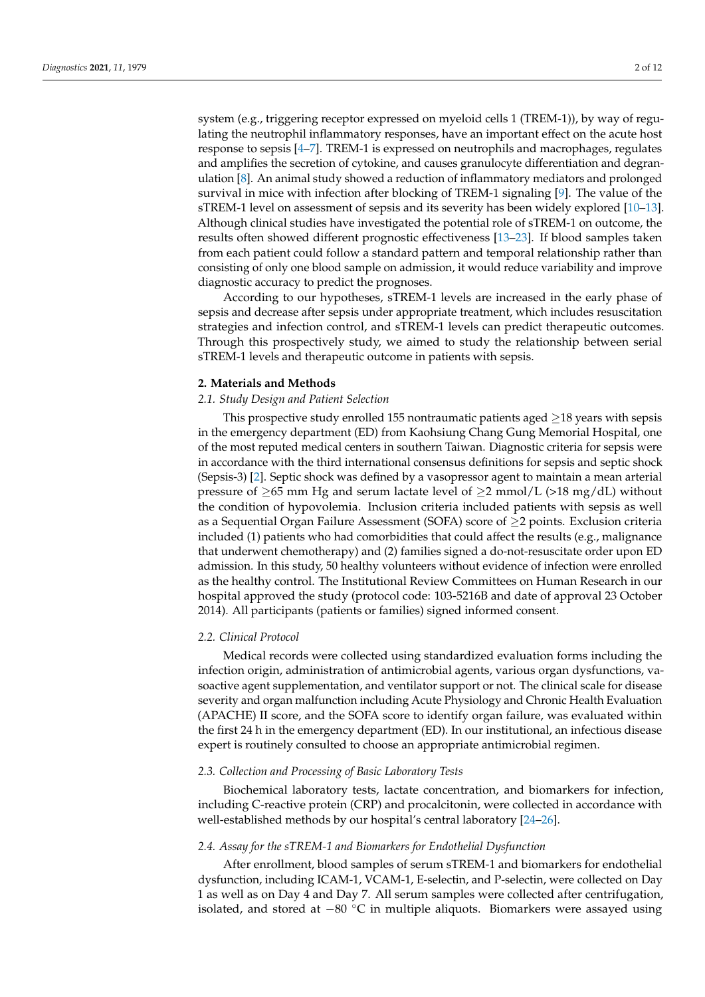system (e.g., triggering receptor expressed on myeloid cells 1 (TREM-1)), by way of regulating the neutrophil inflammatory responses, have an important effect on the acute host response to sepsis [\[4–](#page-10-3)[7\]](#page-10-4). TREM-1 is expressed on neutrophils and macrophages, regulates and amplifies the secretion of cytokine, and causes granulocyte differentiation and degranulation [\[8\]](#page-10-5). An animal study showed a reduction of inflammatory mediators and prolonged survival in mice with infection after blocking of TREM-1 signaling [\[9\]](#page-10-6). The value of the sTREM-1 level on assessment of sepsis and its severity has been widely explored [\[10](#page-10-7)[–13\]](#page-10-8). Although clinical studies have investigated the potential role of sTREM-1 on outcome, the results often showed different prognostic effectiveness [\[13](#page-10-8)[–23\]](#page-11-0). If blood samples taken from each patient could follow a standard pattern and temporal relationship rather than consisting of only one blood sample on admission, it would reduce variability and improve diagnostic accuracy to predict the prognoses.

According to our hypotheses, sTREM-1 levels are increased in the early phase of sepsis and decrease after sepsis under appropriate treatment, which includes resuscitation strategies and infection control, and sTREM-1 levels can predict therapeutic outcomes. Through this prospectively study, we aimed to study the relationship between serial sTREM-1 levels and therapeutic outcome in patients with sepsis.

# **2. Materials and Methods**

# *2.1. Study Design and Patient Selection*

This prospective study enrolled 155 nontraumatic patients aged  $\geq$ 18 years with sepsis in the emergency department (ED) from Kaohsiung Chang Gung Memorial Hospital, one of the most reputed medical centers in southern Taiwan. Diagnostic criteria for sepsis were in accordance with the third international consensus definitions for sepsis and septic shock (Sepsis-3) [\[2\]](#page-10-1). Septic shock was defined by a vasopressor agent to maintain a mean arterial pressure of  $\geq$ 65 mm Hg and serum lactate level of  $\geq$ 2 mmol/L (>18 mg/dL) without the condition of hypovolemia. Inclusion criteria included patients with sepsis as well as a Sequential Organ Failure Assessment (SOFA) score of ≥2 points. Exclusion criteria included (1) patients who had comorbidities that could affect the results (e.g., malignance that underwent chemotherapy) and (2) families signed a do-not-resuscitate order upon ED admission. In this study, 50 healthy volunteers without evidence of infection were enrolled as the healthy control. The Institutional Review Committees on Human Research in our hospital approved the study (protocol code: 103-5216B and date of approval 23 October 2014). All participants (patients or families) signed informed consent.

#### *2.2. Clinical Protocol*

Medical records were collected using standardized evaluation forms including the infection origin, administration of antimicrobial agents, various organ dysfunctions, vasoactive agent supplementation, and ventilator support or not. The clinical scale for disease severity and organ malfunction including Acute Physiology and Chronic Health Evaluation (APACHE) II score, and the SOFA score to identify organ failure, was evaluated within the first 24 h in the emergency department (ED). In our institutional, an infectious disease expert is routinely consulted to choose an appropriate antimicrobial regimen.

# *2.3. Collection and Processing of Basic Laboratory Tests*

Biochemical laboratory tests, lactate concentration, and biomarkers for infection, including C-reactive protein (CRP) and procalcitonin, were collected in accordance with well-established methods by our hospital's central laboratory [\[24](#page-11-1)[–26\]](#page-11-2).

# *2.4. Assay for the sTREM-1 and Biomarkers for Endothelial Dysfunction*

After enrollment, blood samples of serum sTREM-1 and biomarkers for endothelial dysfunction, including ICAM-1, VCAM-1, E-selectin, and P-selectin, were collected on Day 1 as well as on Day 4 and Day 7. All serum samples were collected after centrifugation, isolated, and stored at  $-80$  °C in multiple aliquots. Biomarkers were assayed using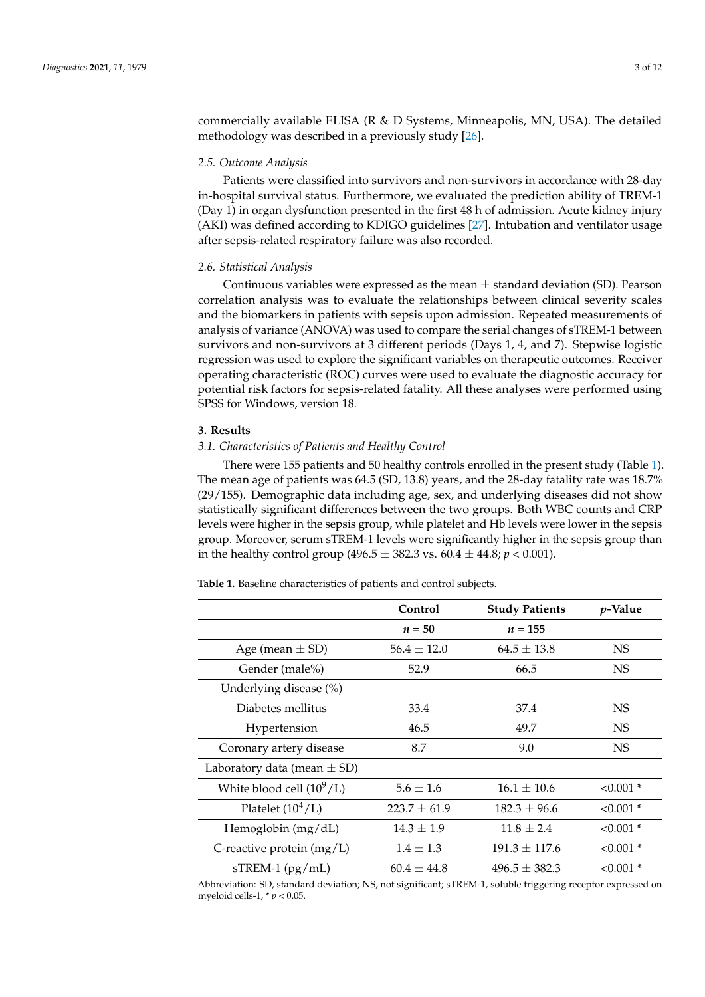commercially available ELISA (R & D Systems, Minneapolis, MN, USA). The detailed methodology was described in a previously study [\[26\]](#page-11-2).

# *2.5. Outcome Analysis*

Patients were classified into survivors and non-survivors in accordance with 28-day in-hospital survival status. Furthermore, we evaluated the prediction ability of TREM-1 (Day 1) in organ dysfunction presented in the first 48 h of admission. Acute kidney injury (AKI) was defined according to KDIGO guidelines [\[27\]](#page-11-3). Intubation and ventilator usage after sepsis-related respiratory failure was also recorded.

#### *2.6. Statistical Analysis*

Continuous variables were expressed as the mean  $\pm$  standard deviation (SD). Pearson correlation analysis was to evaluate the relationships between clinical severity scales and the biomarkers in patients with sepsis upon admission. Repeated measurements of analysis of variance (ANOVA) was used to compare the serial changes of sTREM-1 between survivors and non-survivors at 3 different periods (Days 1, 4, and 7). Stepwise logistic regression was used to explore the significant variables on therapeutic outcomes. Receiver operating characteristic (ROC) curves were used to evaluate the diagnostic accuracy for potential risk factors for sepsis-related fatality. All these analyses were performed using SPSS for Windows, version 18.

#### **3. Results**

# *3.1. Characteristics of Patients and Healthy Control*

There were 155 patients and 50 healthy controls enrolled in the present study (Table [1\)](#page-2-0). The mean age of patients was 64.5 (SD, 13.8) years, and the 28-day fatality rate was 18.7% (29/155). Demographic data including age, sex, and underlying diseases did not show statistically significant differences between the two groups. Both WBC counts and CRP levels were higher in the sepsis group, while platelet and Hb levels were lower in the sepsis group. Moreover, serum sTREM-1 levels were significantly higher in the sepsis group than in the healthy control group  $(496.5 \pm 382.3 \text{ vs. } 60.4 \pm 44.8; p < 0.001)$ .

<span id="page-2-0"></span>**Table 1.** Baseline characteristics of patients and control subjects.

|                                 | Control          | <b>Study Patients</b> | $p$ -Value  |
|---------------------------------|------------------|-----------------------|-------------|
|                                 | $n = 50$         | $n = 155$             |             |
| Age (mean $\pm$ SD)             | $56.4 \pm 12.0$  | $64.5 \pm 13.8$       | NS.         |
| Gender (male%)                  | 52.9             | 66.5                  | NS.         |
| Underlying disease (%)          |                  |                       |             |
| Diabetes mellitus               | 33.4             | 37.4                  | NS.         |
| Hypertension                    | 46.5             | 49.7                  | <b>NS</b>   |
| Coronary artery disease         | 8.7              | 9.0                   | NS.         |
| Laboratory data (mean $\pm$ SD) |                  |                       |             |
| White blood cell $(10^9/L)$     | $5.6 \pm 1.6$    | $16.1 \pm 10.6$       | $< 0.001$ * |
| Platelet $(10^4$ /L)            | $223.7 \pm 61.9$ | $182.3 \pm 96.6$      | $< 0.001$ * |
| Hemoglobin $(mg/dL)$            | $14.3 \pm 1.9$   | $11.8 \pm 2.4$        | $< 0.001$ * |
| C-reactive protein $(mg/L)$     | $1.4 \pm 1.3$    | $191.3 \pm 117.6$     | $< 0.001$ * |
| $sTREM-1$ ( $pg/mL$ )           | $60.4 \pm 44.8$  | $496.5 \pm 382.3$     | $< 0.001$ * |

Abbreviation: SD, standard deviation; NS, not significant; sTREM-1, soluble triggering receptor expressed on myeloid cells-1, \* *p* < 0.05.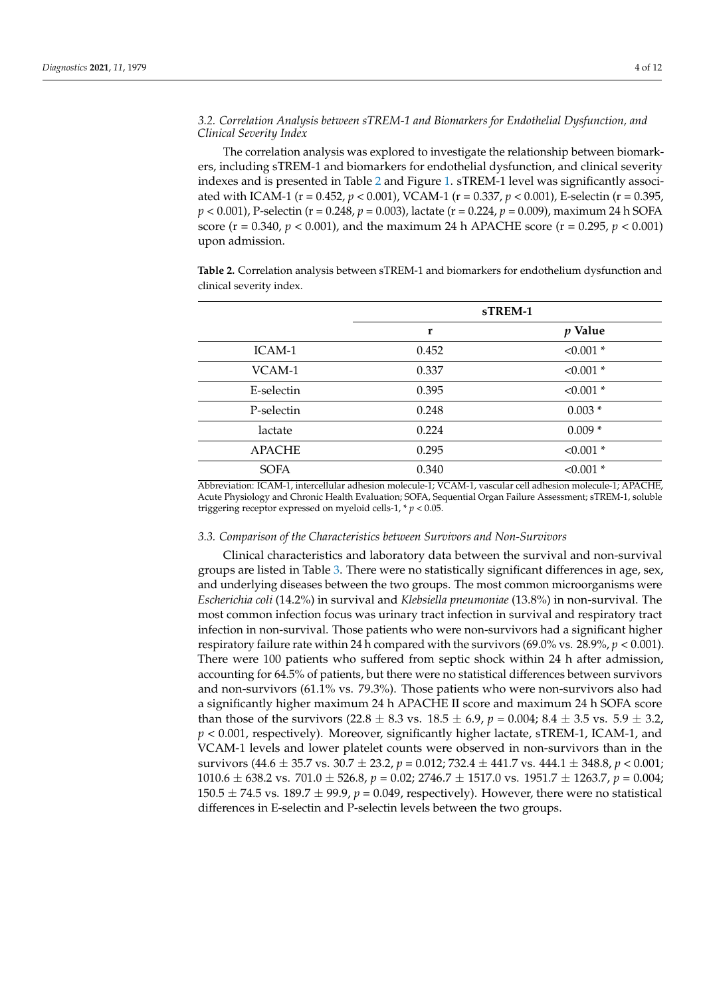# *3.2. Correlation Analysis between sTREM-1 and Biomarkers for Endothelial Dysfunction, and Clinical Severity Index*

The correlation analysis was explored to investigate the relationship between biomarkers, including sTREM-1 and biomarkers for endothelial dysfunction, and clinical severity indexes and is presented in Table [2](#page-3-0) and Figure [1.](#page-4-0) sTREM-1 level was significantly associated with ICAM-1 (r = 0.452, *p* < 0.001), VCAM-1 (r = 0.337, *p* < 0.001), E-selectin (r = 0.395, *p* < 0.001), P-selectin (r = 0.248, *p* = 0.003), lactate (r = 0.224, *p* = 0.009), maximum 24 h SOFA score ( $r = 0.340$ ,  $p < 0.001$ ), and the maximum 24 h APACHE score ( $r = 0.295$ ,  $p < 0.001$ ) upon admission.

<span id="page-3-0"></span>**Table 2.** Correlation analysis between sTREM-1 and biomarkers for endothelium dysfunction and clinical severity index.

|               |       | sTREM-1     |
|---------------|-------|-------------|
|               | r     | $p$ Value   |
| ICAM-1        | 0.452 | $< 0.001$ * |
| VCAM-1        | 0.337 | $< 0.001$ * |
| E-selectin    | 0.395 | $< 0.001$ * |
| P-selectin    | 0.248 | $0.003*$    |
| lactate       | 0.224 | $0.009*$    |
| <b>APACHE</b> | 0.295 | $< 0.001$ * |
| <b>SOFA</b>   | 0.340 | $< 0.001$ * |

Abbreviation: ICAM-1, intercellular adhesion molecule-1; VCAM-1, vascular cell adhesion molecule-1; APACHE, Acute Physiology and Chronic Health Evaluation; SOFA, Sequential Organ Failure Assessment; sTREM-1, soluble triggering receptor expressed on myeloid cells-1, \* *p* < 0.05.

#### *3.3. Comparison of the Characteristics between Survivors and Non-Survivors*

Clinical characteristics and laboratory data between the survival and non-survival groups are listed in Table [3.](#page-5-0) There were no statistically significant differences in age, sex, and underlying diseases between the two groups. The most common microorganisms were *Escherichia coli* (14.2%) in survival and *Klebsiella pneumoniae* (13.8%) in non-survival. The most common infection focus was urinary tract infection in survival and respiratory tract infection in non-survival. Those patients who were non-survivors had a significant higher respiratory failure rate within 24 h compared with the survivors  $(69.0\% \text{ vs. } 28.9\%, p < 0.001)$ . There were 100 patients who suffered from septic shock within 24 h after admission, accounting for 64.5% of patients, but there were no statistical differences between survivors and non-survivors (61.1% vs. 79.3%). Those patients who were non-survivors also had a significantly higher maximum 24 h APACHE II score and maximum 24 h SOFA score than those of the survivors  $(22.8 \pm 8.3 \text{ vs. } 18.5 \pm 6.9, p = 0.004; 8.4 \pm 3.5 \text{ vs. } 5.9 \pm 3.2,$ *p* < 0.001, respectively). Moreover, significantly higher lactate, sTREM-1, ICAM-1, and VCAM-1 levels and lower platelet counts were observed in non-survivors than in the survivors (44.6 ± 35.7 vs. 30.7 ± 23.2, *p* = 0.012; 732.4 ± 441.7 vs. 444.1 ± 348.8, *p* < 0.001; 1010.6 ± 638.2 vs. 701.0 ± 526.8, *p* = 0.02; 2746.7 ± 1517.0 vs. 1951.7 ± 1263.7, *p* = 0.004;  $150.5 \pm 74.5$  vs.  $189.7 \pm 99.9$ ,  $p = 0.049$ , respectively). However, there were no statistical differences in E-selectin and P-selectin levels between the two groups.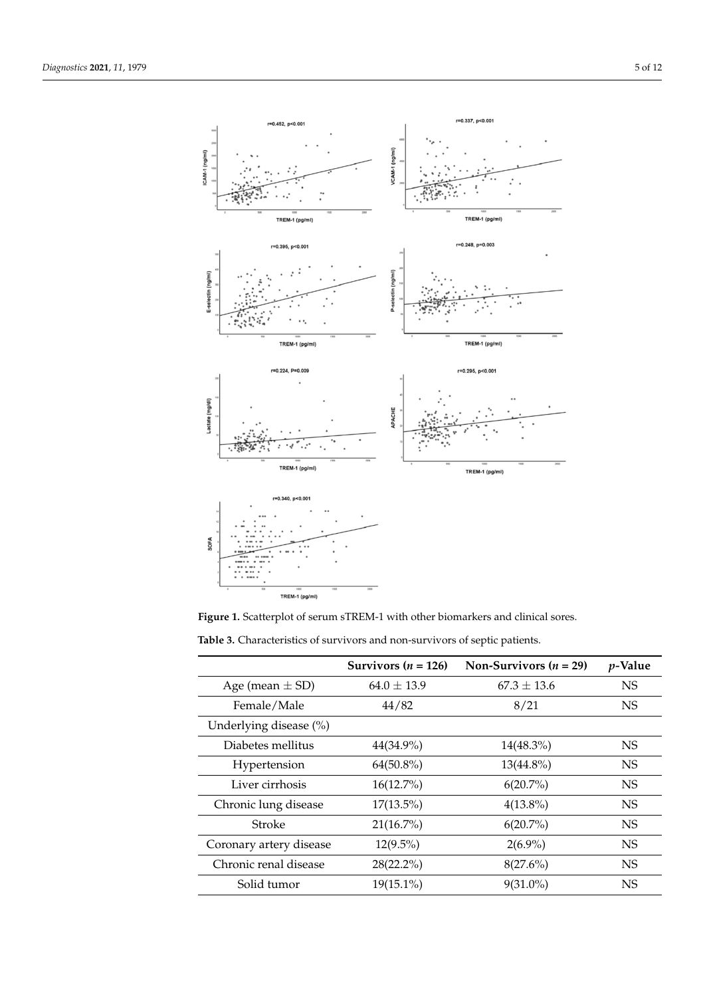<span id="page-4-0"></span>

**Figure 1. Figure 1.**  Scatterplot of serum sTREM-1 with other biomarkers and clinical sores. Scatterplot of serum sTREM-1 with other biomarkers and clinical sores.

**Table 3.** Characteristics of survivors and non-survivors of septic patients.

|                         | Survivors $(n = 126)$ | Non-Survivors $(n = 29)$ | $p$ -Value |
|-------------------------|-----------------------|--------------------------|------------|
| Age (mean $\pm$ SD)     | $64.0 \pm 13.9$       | $67.3 \pm 13.6$          | <b>NS</b>  |
| Female/Male             | 44/82                 | 8/21                     | <b>NS</b>  |
| Underlying disease (%)  |                       |                          |            |
| Diabetes mellitus       | 44(34.9%)             | $14(48.3\%)$             | <b>NS</b>  |
| Hypertension            | $64(50.8\%)$          | $13(44.8\%)$             | <b>NS</b>  |
| Liver cirrhosis         | $16(12.7\%)$          | $6(20.7\%)$              | <b>NS</b>  |
| Chronic lung disease    | $17(13.5\%)$          | $4(13.8\%)$              | <b>NS</b>  |
| Stroke                  | $21(16.7\%)$          | $6(20.7\%)$              | <b>NS</b>  |
| Coronary artery disease | $12(9.5\%)$           | $2(6.9\%)$               | <b>NS</b>  |
| Chronic renal disease   | $28(22.2\%)$          | $8(27.6\%)$              | <b>NS</b>  |
| Solid tumor             | $19(15.1\%)$          | $9(31.0\%)$              | <b>NS</b>  |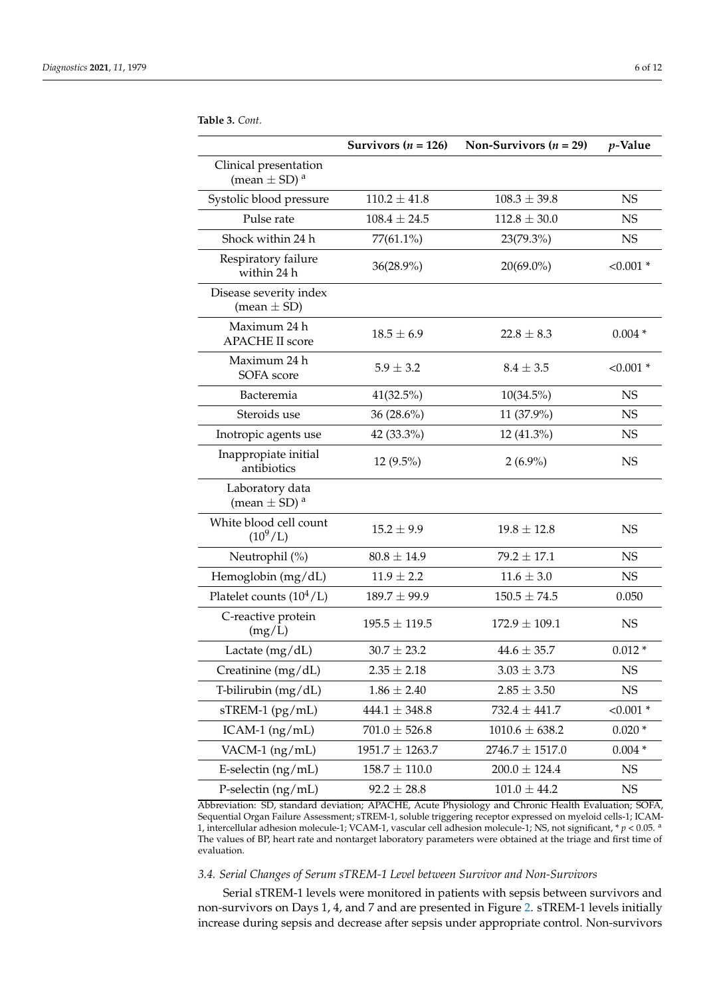<span id="page-5-0"></span>**Table 3.** *Cont.*

|                                                       | Survivors ( $n = 126$ ) | Non-Survivors ( $n = 29$ ) | $p$ -Value  |
|-------------------------------------------------------|-------------------------|----------------------------|-------------|
| Clinical presentation<br>(mean $\pm$ SD) <sup>a</sup> |                         |                            |             |
| Systolic blood pressure                               | $110.2 \pm 41.8$        | $108.3 \pm 39.8$           | NS          |
| Pulse rate                                            | $108.4 \pm 24.5$        | $112.8 \pm 30.0$           | <b>NS</b>   |
| Shock within 24 h                                     | $77(61.1\%)$            | 23(79.3%)                  | <b>NS</b>   |
| Respiratory failure<br>within 24 h                    | 36(28.9%)               | $20(69.0\%)$               | $< 0.001$ * |
| Disease severity index<br>$mean \pm SD$               |                         |                            |             |
| Maximum 24 h<br><b>APACHE II score</b>                | $18.5 \pm 6.9$          | $22.8 \pm 8.3$             | $0.004*$    |
| Maximum 24 h<br>SOFA score                            | $5.9 \pm 3.2$           | $8.4 \pm 3.5$              | $< 0.001$ * |
| Bacteremia                                            | 41(32.5%)               | $10(34.5\%)$               | <b>NS</b>   |
| Steroids use                                          | 36 (28.6%)              | 11 (37.9%)                 | <b>NS</b>   |
| Inotropic agents use                                  | 42 (33.3%)              | 12 (41.3%)                 | <b>NS</b>   |
| Inappropiate initial<br>antibiotics                   | 12 (9.5%)               | $2(6.9\%)$                 | <b>NS</b>   |
| Laboratory data<br>(mean $\pm$ SD) <sup>a</sup>       |                         |                            |             |
| White blood cell count<br>$(10^9/L)$                  | $15.2 \pm 9.9$          | $19.8 \pm 12.8$            | <b>NS</b>   |
| Neutrophil (%)                                        | $80.8 \pm 14.9$         | $79.2 \pm 17.1$            | <b>NS</b>   |
| Hemoglobin (mg/dL)                                    | $11.9 \pm 2.2$          | $11.6 \pm 3.0$             | NS          |
| Platelet counts $(10^4/L)$                            | $189.7 \pm 99.9$        | $150.5 \pm 74.5$           | 0.050       |
| C-reactive protein<br>(mg/L)                          | $195.5 \pm 119.5$       | $172.9 \pm 109.1$          | NS          |
| Lactate (mg/dL)                                       | $30.7 \pm 23.2$         | $44.6 \pm 35.7$            | $0.012*$    |
| Creatinine (mg/dL)                                    | $2.35\pm2.18$           | $3.03\pm3.73$              | $_{\rm NS}$ |
| T-bilirubin (mg/dL)                                   | $1.86 \pm 2.40$         | $2.85 \pm 3.50$            | NS          |
| sTREM-1 (pg/mL)                                       | $444.1 \pm 348.8$       | $732.4 \pm 441.7$          | $< 0.001$ * |
| $ICAM-1$ (ng/mL)                                      | $701.0 \pm 526.8$       | $1010.6 \pm 638.2$         | $0.020*$    |
| VACM-1 $(ng/mL)$                                      | $1951.7 \pm 1263.7$     | $2746.7 \pm 1517.0$        | $0.004*$    |
| E-selectin $(ng/mL)$                                  | $158.7\pm110.0$         | $200.0 \pm 124.4$          | <b>NS</b>   |
| P-selectin $(ng/mL)$                                  | $92.2 \pm 28.8$         | $101.0 \pm 44.2$           | <b>NS</b>   |

Abbreviation: SD, standard deviation; APACHE, Acute Physiology and Chronic Health Evaluation; SOFA, Sequential Organ Failure Assessment; sTREM-1, soluble triggering receptor expressed on myeloid cells-1; ICAM-1, intercellular adhesion molecule-1; VCAM-1, vascular cell adhesion molecule-1; NS, not significant, \* *p* < 0.05. <sup>a</sup> The values of BP, heart rate and nontarget laboratory parameters were obtained at the triage and first time of evaluation.

# *3.4. Serial Changes of Serum sTREM-1 Level between Survivor and Non-Survivors*

Serial sTREM-1 levels were monitored in patients with sepsis between survivors and non-survivors on Days 1, 4, and 7 and are presented in Figure [2.](#page-6-0) sTREM-1 levels initially increase during sepsis and decrease after sepsis under appropriate control. Non-survivors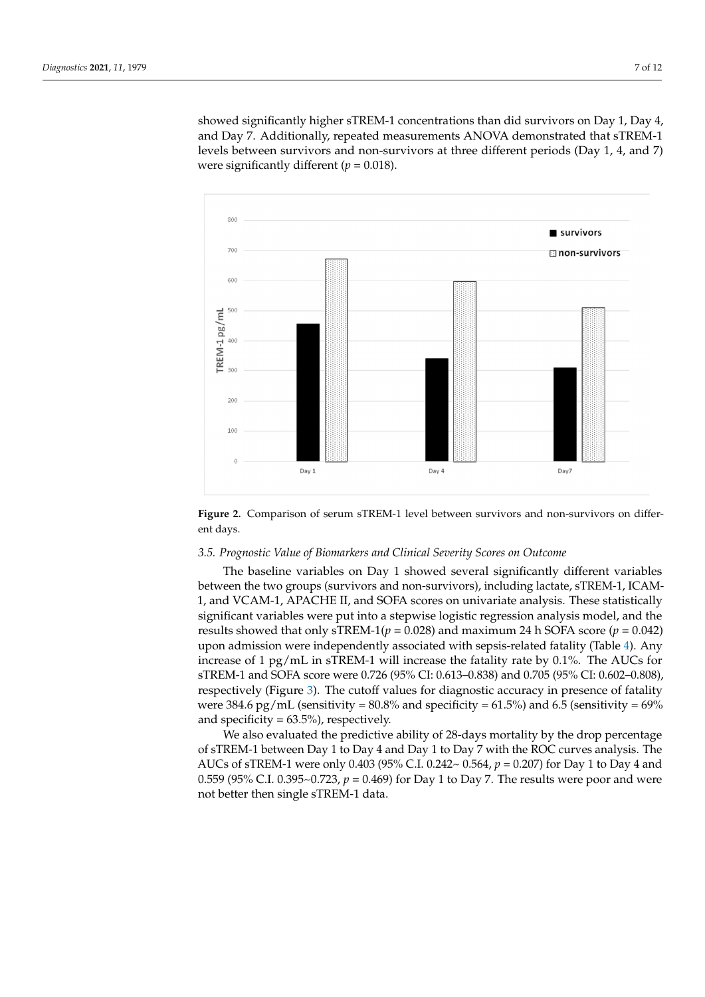showed significantly higher sTREM-1 concentrations than did survivors on Day 1, Day 4, showed significantly higher sTREM-1 concentrations than did survivors on Day 1, Day 4, and Day 7. Additionally, repeated measurements ANOVA demonstrated that sTREM-1 and Day 7. Additionally, repeated measurements ANOVA demonstrated that sTREM-1 levels between survivors and non-survivors at three different periods (Day 1, 4, and 7) levels between survivors and non-survivors at three different periods (Day 1, 4, and 7) were significantly different (*p* = 0.018). were significantly different (*p* = 0.018).

<span id="page-6-0"></span>

Figure 2. Comparison of serum sTREM-1 level between survivors and non-survivors on differdays. ent days.

# *3.5. Prognostic Value of Biomarkers and Clinical Severity Scores on Outcome 3.5. Prognostic Value of Biomarkers and Clinical Severity Scores on Outcome*

Inc. baseline variables on Day 1 showed several significantly different variables between the two groups (survivors and non-survivors), including lactate, sTREM-1, ICAMtween the two groups (survivors and non-survivors), including lactate, sTREM-1, ICAM-1, and VCAM-1, APACHE II, and SOFA scores on univariate analysis. These statistically 1, and VCAM-1, APACHE II, and SOFA scores on univariate analysis. These statistically significant variables were put into a stepwise logistic regression analysis model, and the results showed that only sTREM-1( $p = 0.028$ ) and maximum 24 h SOFA score ( $p = 0.042$ ) The baseline variables on Day 1 showed several significantly different variables upon admission were independently associated with sepsis-related fatality (Table [4\)](#page-7-0). Any increase of 1 pg/mL in sTREM-1 will increase the fatality rate by 0.1%. The AUCs for sTREM-1 and SOFA score were 0.726 (95% CI: 0.613–0.838) and 0.705 (95% CI: 0.602–0.808), respectively (Figure [3\)](#page-7-1). The cutoff values for diagnostic accuracy in presence of fatality were 384.6 pg/mL (sensitivity =  $80.8\%$  and specificity =  $61.5\%$ ) and  $6.5$  (sensitivity =  $69\%$ and specificity  $= 63.5\%$ ), respectively.

We also evaluated the predictive ability of 28-days mortality by the drop percentage of sTREM-1 between Day 1 to Day 4 and Day 1 to Day 7 with the ROC curves analysis. The AUCs of sTREM-1 were only 0.403 (95% C.I. 0.242~ 0.564, *p* = 0.207) for Day 1 to Day 4 and 0.559 (95% C.I. 0.395~0.723,  $p = 0.469$ ) for Day 1 to Day 7. The results were poor and were not better then single sTREM-1 data.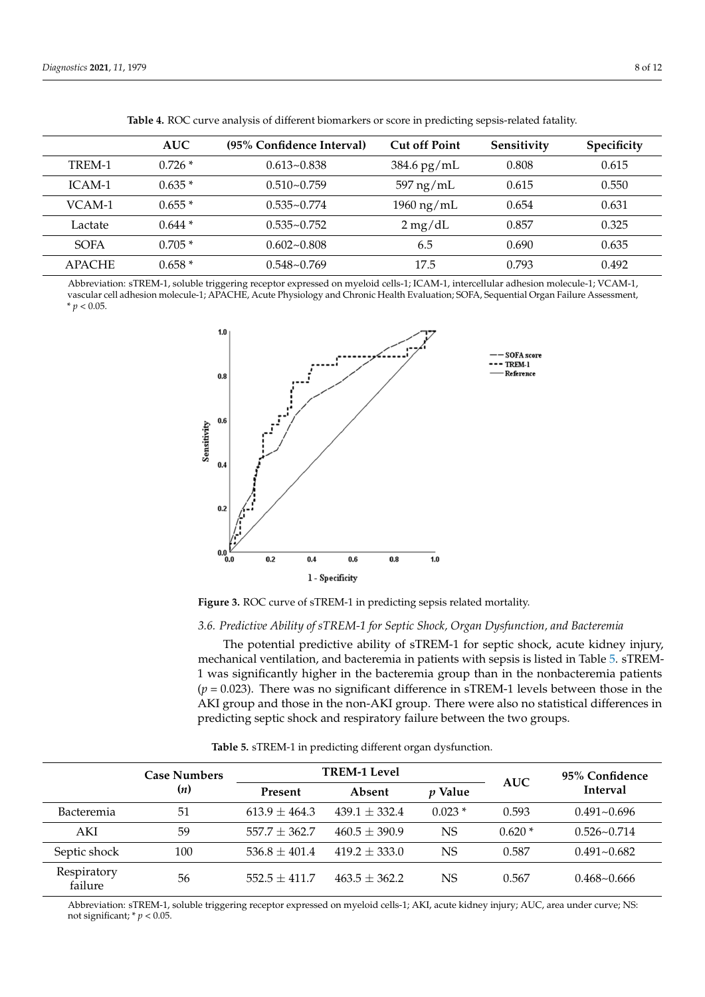|               | <b>AUC</b> | (95% Confidence Interval) | <b>Cut off Point</b> | Sensitivity | Specificity |
|---------------|------------|---------------------------|----------------------|-------------|-------------|
| TREM-1        | $0.726*$   | $0.613 - 0.838$           | $384.6$ pg/mL        | 0.808       | 0.615       |
| ICAM-1        | $0.635*$   | $0.510 - 0.759$           | $597$ ng/mL          | 0.615       | 0.550       |
| VCAM-1        | $0.655*$   | $0.535 - 0.774$           | $1960 \text{ ng/mL}$ | 0.654       | 0.631       |
| Lactate       | $0.644*$   | $0.535 - 0.752$           | $2 \text{ mg/dL}$    | 0.857       | 0.325       |
| <b>SOFA</b>   | $0.705*$   | $0.602 - 0.808$           | 6.5                  | 0.690       | 0.635       |
| <b>APACHE</b> | $0.658*$   | $0.548 - 0.769$           | 17.5                 | 0.793       | 0.492       |

<span id="page-7-0"></span>Table 4. ROC curve analysis of different biomarkers or score in predicting sepsis-related fatality.

Abbreviation: sTREM-1, soluble triggering receptor expressed on myeloid cells-1; ICAM-1, intercellular adhesion molecule-1; VCAM-1, vascular cell adhesion molecule-1; APACHE, Acute Physiology and Chronic Health Evaluation; SOFA, Sequential Organ Failure Assessment,  $* p < 0.05$ .

<span id="page-7-1"></span>

**Figure 3.** ROC curve of sTREM-1 in predicting sepsis related mortality. **Figure 3.** ROC curve of sTREM-1 in predicting sepsis related mortality.

# *3.6. Predictive Ability of sTREM-1 for Septic Shock, Organ Dysfunction, and Bacteremia*

The potential predictive ability of sTREM-1 for septic shock, acute kidney injury, mechanical ventilation, and bacteremia in patients with sepsis is listed in Table 5. sTREM-1 was significantly higher in the bacteremia group than in the nonbacteremia patients  $(p = 0.023)$ . There was no significant difference in sTREM-1 levels between those in the  $\Lambda$ VI were poor and the results were  $\Lambda$ VI were use also no attributed difference in predicting septic shock and respiratory failure between the two groups. AKI group and those in the non-AKI group. There were also no statistical differences in

<span id="page-7-2"></span>

|                        | <b>Case Numbers</b> | <b>TREM-1 Level</b> |                   |                | 95% Confidence |                 |
|------------------------|---------------------|---------------------|-------------------|----------------|----------------|-----------------|
|                        | (n)                 | <b>Present</b>      | Absent            | <i>v</i> Value | <b>AUC</b>     | Interval        |
| Bacteremia             | 51                  | $613.9 \pm 464.3$   | $439.1 \pm 332.4$ | $0.023*$       | 0.593          | $0.491 - 0.696$ |
| AKI                    | 59                  | $557.7 \pm 362.7$   | $460.5 \pm 390.9$ | NS             | $0.620*$       | $0.526 - 0.714$ |
| Septic shock           | 100                 | $536.8 \pm 401.4$   | $419.2 \pm 333.0$ | <b>NS</b>      | 0.587          | $0.491 - 0.682$ |
| Respiratory<br>failure | 56                  | $552.5 \pm 411.7$   | $463.5 \pm 362.2$ | NS             | 0.567          | $0.468 - 0.666$ |

*3.6. Predictive Ability of sTREM-1 for Septic Shock, Organ Dysfunction, and Bacteremia*  **Table 5.** sTREM-1 in predicting different organ dysfunction.

Abbreviation: sTREM-1, soluble triggering receptor expressed on myeloid cells-1; AKI, acute kidney injury; AUC, area under curve; NS: not significant; \* *p* < 0.05.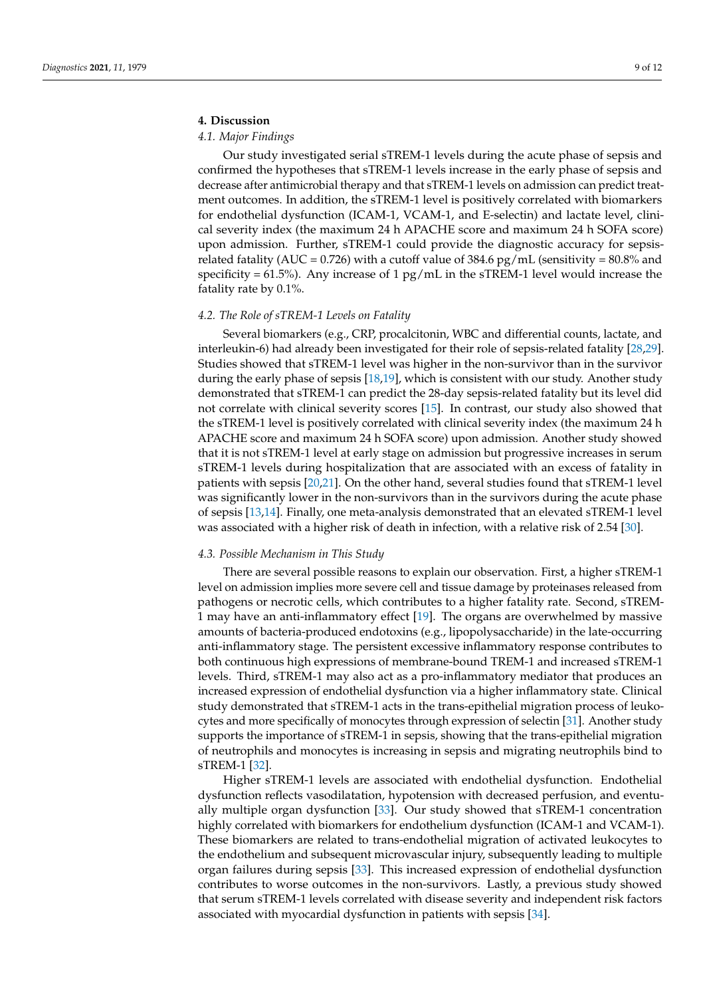# **4. Discussion**

### *4.1. Major Findings*

Our study investigated serial sTREM-1 levels during the acute phase of sepsis and confirmed the hypotheses that sTREM-1 levels increase in the early phase of sepsis and decrease after antimicrobial therapy and that sTREM-1 levels on admission can predict treatment outcomes. In addition, the sTREM-1 level is positively correlated with biomarkers for endothelial dysfunction (ICAM-1, VCAM-1, and E-selectin) and lactate level, clinical severity index (the maximum 24 h APACHE score and maximum 24 h SOFA score) upon admission. Further, sTREM-1 could provide the diagnostic accuracy for sepsisrelated fatality (AUC = 0.726) with a cutoff value of 384.6 pg/mL (sensitivity =  $80.8\%$  and specificity =  $61.5\%$ ). Any increase of 1 pg/mL in the sTREM-1 level would increase the fatality rate by 0.1%.

#### *4.2. The Role of sTREM-1 Levels on Fatality*

Several biomarkers (e.g., CRP, procalcitonin, WBC and differential counts, lactate, and interleukin-6) had already been investigated for their role of sepsis-related fatality [\[28](#page-11-4)[,29\]](#page-11-5). Studies showed that sTREM-1 level was higher in the non-survivor than in the survivor during the early phase of sepsis [\[18](#page-10-9)[,19\]](#page-10-10), which is consistent with our study. Another study demonstrated that sTREM-1 can predict the 28-day sepsis-related fatality but its level did not correlate with clinical severity scores [\[15\]](#page-10-11). In contrast, our study also showed that the sTREM-1 level is positively correlated with clinical severity index (the maximum 24 h APACHE score and maximum 24 h SOFA score) upon admission. Another study showed that it is not sTREM-1 level at early stage on admission but progressive increases in serum sTREM-1 levels during hospitalization that are associated with an excess of fatality in patients with sepsis [\[20](#page-10-12)[,21\]](#page-10-13). On the other hand, several studies found that sTREM-1 level was significantly lower in the non-survivors than in the survivors during the acute phase of sepsis [\[13,](#page-10-8)[14\]](#page-10-14). Finally, one meta-analysis demonstrated that an elevated sTREM-1 level was associated with a higher risk of death in infection, with a relative risk of 2.54 [\[30\]](#page-11-6).

#### *4.3. Possible Mechanism in This Study*

There are several possible reasons to explain our observation. First, a higher sTREM-1 level on admission implies more severe cell and tissue damage by proteinases released from pathogens or necrotic cells, which contributes to a higher fatality rate. Second, sTREM-1 may have an anti-inflammatory effect [\[19\]](#page-10-10). The organs are overwhelmed by massive amounts of bacteria-produced endotoxins (e.g., lipopolysaccharide) in the late-occurring anti-inflammatory stage. The persistent excessive inflammatory response contributes to both continuous high expressions of membrane-bound TREM-1 and increased sTREM-1 levels. Third, sTREM-1 may also act as a pro-inflammatory mediator that produces an increased expression of endothelial dysfunction via a higher inflammatory state. Clinical study demonstrated that sTREM-1 acts in the trans-epithelial migration process of leukocytes and more specifically of monocytes through expression of selectin [\[31\]](#page-11-7). Another study supports the importance of sTREM-1 in sepsis, showing that the trans-epithelial migration of neutrophils and monocytes is increasing in sepsis and migrating neutrophils bind to sTREM-1 [\[32\]](#page-11-8).

Higher sTREM-1 levels are associated with endothelial dysfunction. Endothelial dysfunction reflects vasodilatation, hypotension with decreased perfusion, and eventually multiple organ dysfunction [\[33\]](#page-11-9). Our study showed that sTREM-1 concentration highly correlated with biomarkers for endothelium dysfunction (ICAM-1 and VCAM-1). These biomarkers are related to trans-endothelial migration of activated leukocytes to the endothelium and subsequent microvascular injury, subsequently leading to multiple organ failures during sepsis [\[33\]](#page-11-9). This increased expression of endothelial dysfunction contributes to worse outcomes in the non-survivors. Lastly, a previous study showed that serum sTREM-1 levels correlated with disease severity and independent risk factors associated with myocardial dysfunction in patients with sepsis [\[34\]](#page-11-10).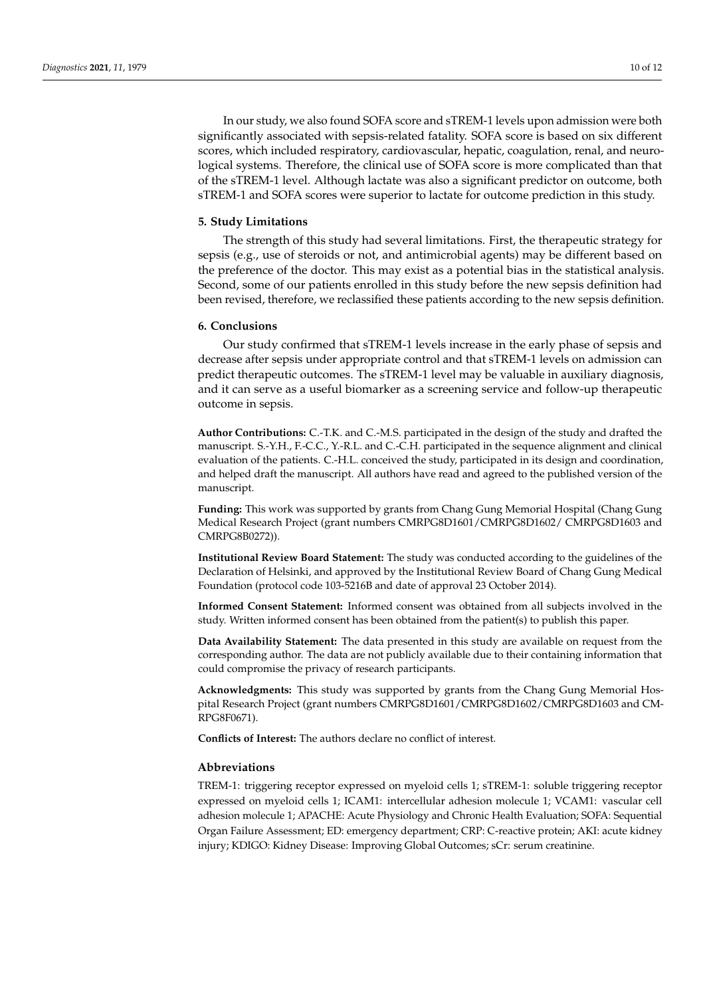In our study, we also found SOFA score and sTREM-1 levels upon admission were both significantly associated with sepsis-related fatality. SOFA score is based on six different scores, which included respiratory, cardiovascular, hepatic, coagulation, renal, and neurological systems. Therefore, the clinical use of SOFA score is more complicated than that of the sTREM-1 level. Although lactate was also a significant predictor on outcome, both sTREM-1 and SOFA scores were superior to lactate for outcome prediction in this study.

#### **5. Study Limitations**

The strength of this study had several limitations. First, the therapeutic strategy for sepsis (e.g., use of steroids or not, and antimicrobial agents) may be different based on the preference of the doctor. This may exist as a potential bias in the statistical analysis. Second, some of our patients enrolled in this study before the new sepsis definition had been revised, therefore, we reclassified these patients according to the new sepsis definition.

# **6. Conclusions**

Our study confirmed that sTREM-1 levels increase in the early phase of sepsis and decrease after sepsis under appropriate control and that sTREM-1 levels on admission can predict therapeutic outcomes. The sTREM-1 level may be valuable in auxiliary diagnosis, and it can serve as a useful biomarker as a screening service and follow-up therapeutic outcome in sepsis.

**Author Contributions:** C.-T.K. and C.-M.S. participated in the design of the study and drafted the manuscript. S.-Y.H., F.-C.C., Y.-R.L. and C.-C.H. participated in the sequence alignment and clinical evaluation of the patients. C.-H.L. conceived the study, participated in its design and coordination, and helped draft the manuscript. All authors have read and agreed to the published version of the manuscript.

**Funding:** This work was supported by grants from Chang Gung Memorial Hospital (Chang Gung Medical Research Project (grant numbers CMRPG8D1601/CMRPG8D1602/ CMRPG8D1603 and CMRPG8B0272)).

**Institutional Review Board Statement:** The study was conducted according to the guidelines of the Declaration of Helsinki, and approved by the Institutional Review Board of Chang Gung Medical Foundation (protocol code 103-5216B and date of approval 23 October 2014).

**Informed Consent Statement:** Informed consent was obtained from all subjects involved in the study. Written informed consent has been obtained from the patient(s) to publish this paper.

**Data Availability Statement:** The data presented in this study are available on request from the corresponding author. The data are not publicly available due to their containing information that could compromise the privacy of research participants.

**Acknowledgments:** This study was supported by grants from the Chang Gung Memorial Hospital Research Project (grant numbers CMRPG8D1601/CMRPG8D1602/CMRPG8D1603 and CM-RPG8F0671).

**Conflicts of Interest:** The authors declare no conflict of interest.

#### **Abbreviations**

TREM-1: triggering receptor expressed on myeloid cells 1; sTREM-1: soluble triggering receptor expressed on myeloid cells 1; ICAM1: intercellular adhesion molecule 1; VCAM1: vascular cell adhesion molecule 1; APACHE: Acute Physiology and Chronic Health Evaluation; SOFA: Sequential Organ Failure Assessment; ED: emergency department; CRP: C-reactive protein; AKI: acute kidney injury; KDIGO: Kidney Disease: Improving Global Outcomes; sCr: serum creatinine.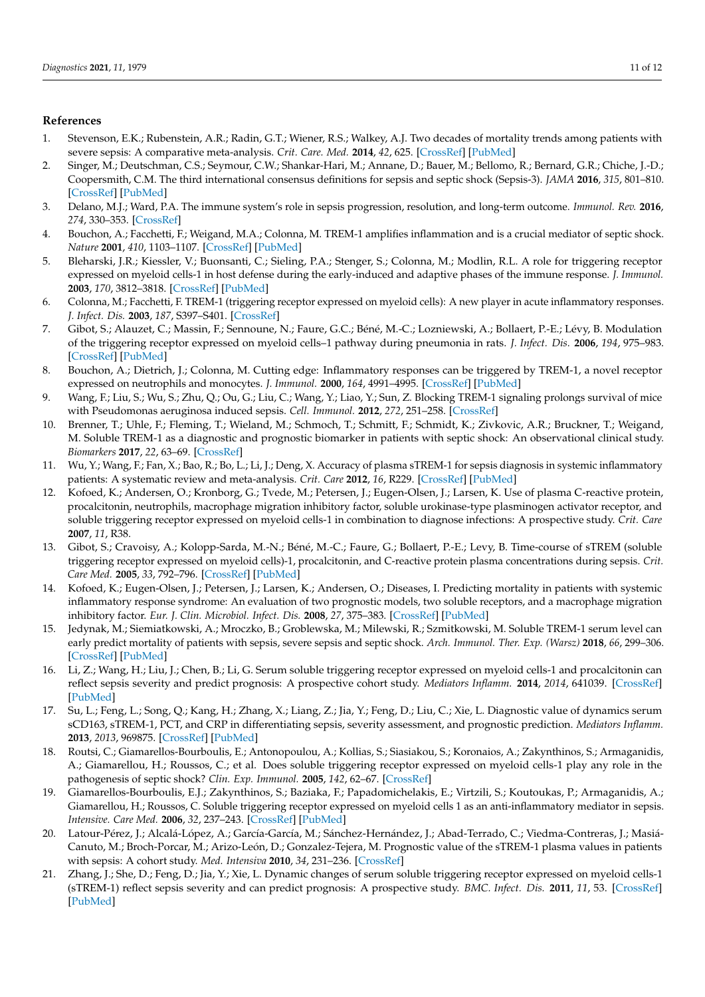# **References**

- <span id="page-10-0"></span>1. Stevenson, E.K.; Rubenstein, A.R.; Radin, G.T.; Wiener, R.S.; Walkey, A.J. Two decades of mortality trends among patients with severe sepsis: A comparative meta-analysis. *Crit. Care. Med.* **2014**, *42*, 625. [\[CrossRef\]](http://doi.org/10.1097/CCM.0000000000000026) [\[PubMed\]](http://www.ncbi.nlm.nih.gov/pubmed/24201173)
- <span id="page-10-1"></span>2. Singer, M.; Deutschman, C.S.; Seymour, C.W.; Shankar-Hari, M.; Annane, D.; Bauer, M.; Bellomo, R.; Bernard, G.R.; Chiche, J.-D.; Coopersmith, C.M. The third international consensus definitions for sepsis and septic shock (Sepsis-3). *JAMA* **2016**, *315*, 801–810. [\[CrossRef\]](http://doi.org/10.1001/jama.2016.0287) [\[PubMed\]](http://www.ncbi.nlm.nih.gov/pubmed/26903338)
- <span id="page-10-2"></span>3. Delano, M.J.; Ward, P.A. The immune system's role in sepsis progression, resolution, and long-term outcome. *Immunol. Rev.* **2016**, *274*, 330–353. [\[CrossRef\]](http://doi.org/10.1111/imr.12499)
- <span id="page-10-3"></span>4. Bouchon, A.; Facchetti, F.; Weigand, M.A.; Colonna, M. TREM-1 amplifies inflammation and is a crucial mediator of septic shock. *Nature* **2001**, *410*, 1103–1107. [\[CrossRef\]](http://doi.org/10.1038/35074114) [\[PubMed\]](http://www.ncbi.nlm.nih.gov/pubmed/11323674)
- 5. Bleharski, J.R.; Kiessler, V.; Buonsanti, C.; Sieling, P.A.; Stenger, S.; Colonna, M.; Modlin, R.L. A role for triggering receptor expressed on myeloid cells-1 in host defense during the early-induced and adaptive phases of the immune response. *J. Immunol.* **2003**, *170*, 3812–3818. [\[CrossRef\]](http://doi.org/10.4049/jimmunol.170.7.3812) [\[PubMed\]](http://www.ncbi.nlm.nih.gov/pubmed/12646648)
- 6. Colonna, M.; Facchetti, F. TREM-1 (triggering receptor expressed on myeloid cells): A new player in acute inflammatory responses. *J. Infect. Dis.* **2003**, *187*, S397–S401. [\[CrossRef\]](http://doi.org/10.1086/374754)
- <span id="page-10-4"></span>7. Gibot, S.; Alauzet, C.; Massin, F.; Sennoune, N.; Faure, G.C.; Béné, M.-C.; Lozniewski, A.; Bollaert, P.-E.; Lévy, B. Modulation of the triggering receptor expressed on myeloid cells–1 pathway during pneumonia in rats. *J. Infect. Dis.* **2006**, *194*, 975–983. [\[CrossRef\]](http://doi.org/10.1086/506950) [\[PubMed\]](http://www.ncbi.nlm.nih.gov/pubmed/16960786)
- <span id="page-10-5"></span>8. Bouchon, A.; Dietrich, J.; Colonna, M. Cutting edge: Inflammatory responses can be triggered by TREM-1, a novel receptor expressed on neutrophils and monocytes. *J. Immunol.* **2000**, *164*, 4991–4995. [\[CrossRef\]](http://doi.org/10.4049/jimmunol.164.10.4991) [\[PubMed\]](http://www.ncbi.nlm.nih.gov/pubmed/10799849)
- <span id="page-10-6"></span>9. Wang, F.; Liu, S.; Wu, S.; Zhu, Q.; Ou, G.; Liu, C.; Wang, Y.; Liao, Y.; Sun, Z. Blocking TREM-1 signaling prolongs survival of mice with Pseudomonas aeruginosa induced sepsis. *Cell. Immunol.* **2012**, *272*, 251–258. [\[CrossRef\]](http://doi.org/10.1016/j.cellimm.2011.10.006)
- <span id="page-10-7"></span>10. Brenner, T.; Uhle, F.; Fleming, T.; Wieland, M.; Schmoch, T.; Schmitt, F.; Schmidt, K.; Zivkovic, A.R.; Bruckner, T.; Weigand, M. Soluble TREM-1 as a diagnostic and prognostic biomarker in patients with septic shock: An observational clinical study. *Biomarkers* **2017**, *22*, 63–69. [\[CrossRef\]](http://doi.org/10.1080/1354750X.2016.1204005)
- 11. Wu, Y.; Wang, F.; Fan, X.; Bao, R.; Bo, L.; Li, J.; Deng, X. Accuracy of plasma sTREM-1 for sepsis diagnosis in systemic inflammatory patients: A systematic review and meta-analysis. *Crit. Care* **2012**, *16*, R229. [\[CrossRef\]](http://doi.org/10.1186/cc11884) [\[PubMed\]](http://www.ncbi.nlm.nih.gov/pubmed/23194114)
- 12. Kofoed, K.; Andersen, O.; Kronborg, G.; Tvede, M.; Petersen, J.; Eugen-Olsen, J.; Larsen, K. Use of plasma C-reactive protein, procalcitonin, neutrophils, macrophage migration inhibitory factor, soluble urokinase-type plasminogen activator receptor, and soluble triggering receptor expressed on myeloid cells-1 in combination to diagnose infections: A prospective study. *Crit. Care* **2007**, *11*, R38.
- <span id="page-10-8"></span>13. Gibot, S.; Cravoisy, A.; Kolopp-Sarda, M.-N.; Béné, M.-C.; Faure, G.; Bollaert, P.-E.; Levy, B. Time-course of sTREM (soluble triggering receptor expressed on myeloid cells)-1, procalcitonin, and C-reactive protein plasma concentrations during sepsis. *Crit. Care Med.* **2005**, *33*, 792–796. [\[CrossRef\]](http://doi.org/10.1097/01.CCM.0000159089.16462.4A) [\[PubMed\]](http://www.ncbi.nlm.nih.gov/pubmed/15818107)
- <span id="page-10-14"></span>14. Kofoed, K.; Eugen-Olsen, J.; Petersen, J.; Larsen, K.; Andersen, O.; Diseases, I. Predicting mortality in patients with systemic inflammatory response syndrome: An evaluation of two prognostic models, two soluble receptors, and a macrophage migration inhibitory factor. *Eur. J. Clin. Microbiol. Infect. Dis.* **2008**, *27*, 375–383. [\[CrossRef\]](http://doi.org/10.1007/s10096-007-0447-5) [\[PubMed\]](http://www.ncbi.nlm.nih.gov/pubmed/18197443)
- <span id="page-10-11"></span>15. Jedynak, M.; Siemiatkowski, A.; Mroczko, B.; Groblewska, M.; Milewski, R.; Szmitkowski, M. Soluble TREM-1 serum level can early predict mortality of patients with sepsis, severe sepsis and septic shock. *Arch. Immunol. Ther. Exp. (Warsz)* **2018**, *66*, 299–306. [\[CrossRef\]](http://doi.org/10.1007/s00005-017-0499-x) [\[PubMed\]](http://www.ncbi.nlm.nih.gov/pubmed/29282483)
- 16. Li, Z.; Wang, H.; Liu, J.; Chen, B.; Li, G. Serum soluble triggering receptor expressed on myeloid cells-1 and procalcitonin can reflect sepsis severity and predict prognosis: A prospective cohort study. *Mediators Inflamm.* **2014**, *2014*, 641039. [\[CrossRef\]](http://doi.org/10.1155/2014/641039) [\[PubMed\]](http://www.ncbi.nlm.nih.gov/pubmed/24672147)
- 17. Su, L.; Feng, L.; Song, Q.; Kang, H.; Zhang, X.; Liang, Z.; Jia, Y.; Feng, D.; Liu, C.; Xie, L. Diagnostic value of dynamics serum sCD163, sTREM-1, PCT, and CRP in differentiating sepsis, severity assessment, and prognostic prediction. *Mediators Inflamm.* **2013**, *2013*, 969875. [\[CrossRef\]](http://doi.org/10.1155/2013/969875) [\[PubMed\]](http://www.ncbi.nlm.nih.gov/pubmed/23935252)
- <span id="page-10-9"></span>18. Routsi, C.; Giamarellos-Bourboulis, E.; Antonopoulou, A.; Kollias, S.; Siasiakou, S.; Koronaios, A.; Zakynthinos, S.; Armaganidis, A.; Giamarellou, H.; Roussos, C.; et al. Does soluble triggering receptor expressed on myeloid cells-1 play any role in the pathogenesis of septic shock? *Clin. Exp. Immunol.* **2005**, *142*, 62–67. [\[CrossRef\]](http://doi.org/10.1111/j.1365-2249.2005.02887.x)
- <span id="page-10-10"></span>19. Giamarellos-Bourboulis, E.J.; Zakynthinos, S.; Baziaka, F.; Papadomichelakis, E.; Virtzili, S.; Koutoukas, P.; Armaganidis, A.; Giamarellou, H.; Roussos, C. Soluble triggering receptor expressed on myeloid cells 1 as an anti-inflammatory mediator in sepsis. *Intensive. Care Med.* **2006**, *32*, 237–243. [\[CrossRef\]](http://doi.org/10.1007/s00134-005-0017-1) [\[PubMed\]](http://www.ncbi.nlm.nih.gov/pubmed/16450102)
- <span id="page-10-12"></span>20. Latour-Pérez, J.; Alcalá-López, A.; García-García, M.; Sánchez-Hernández, J.; Abad-Terrado, C.; Viedma-Contreras, J.; Masiá-Canuto, M.; Broch-Porcar, M.; Arizo-León, D.; Gonzalez-Tejera, M. Prognostic value of the sTREM-1 plasma values in patients with sepsis: A cohort study. *Med. Intensiva* **2010**, *34*, 231–236. [\[CrossRef\]](http://doi.org/10.1016/j.medin.2009.11.009)
- <span id="page-10-13"></span>21. Zhang, J.; She, D.; Feng, D.; Jia, Y.; Xie, L. Dynamic changes of serum soluble triggering receptor expressed on myeloid cells-1 (sTREM-1) reflect sepsis severity and can predict prognosis: A prospective study. *BMC. Infect. Dis.* **2011**, *11*, 53. [\[CrossRef\]](http://doi.org/10.1186/1471-2334-11-53) [\[PubMed\]](http://www.ncbi.nlm.nih.gov/pubmed/21356122)